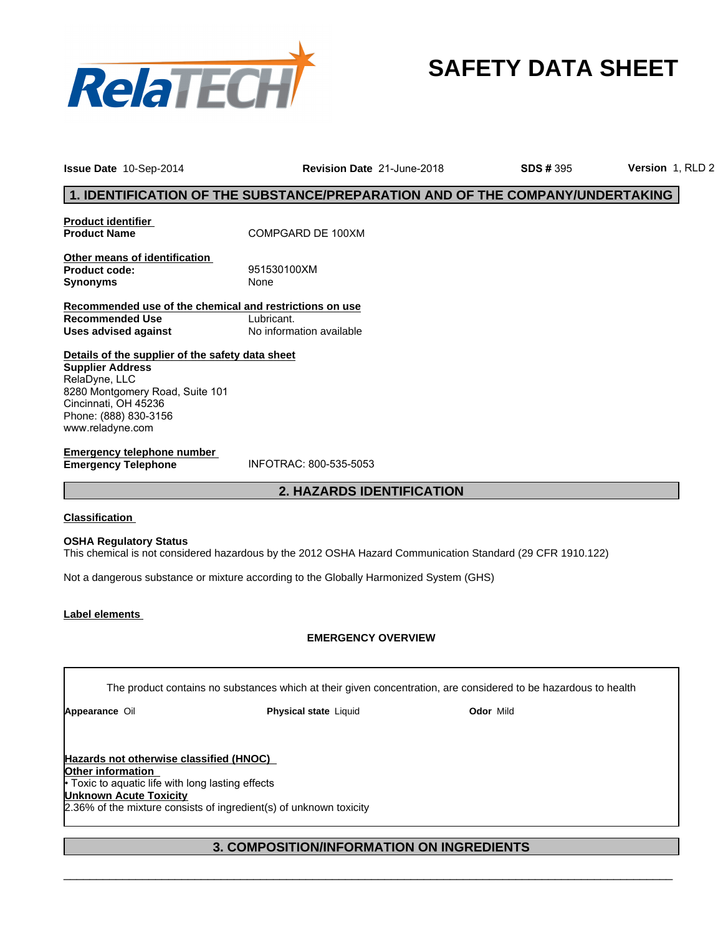

## **SAFETY DATA SHEET**

**Issue Date** 10-Sep-2014 **Revision Date** 21-June-2018 **Version** 1, RLD 2

**SDS #** 395

**Product identifier Product Name** COMPGARD DE 100XM

**Other means of identification Product code:** 951530100XM **Synonyms** None

strictions on use<br>ant.<br>prmation available<br>**2. HAZARDS IDENTIFICATION Recommended use of the chemical and restrictions on use Recommended Use** Lubricant.<br> **Uses advised against** No information available **Uses advised against** 

**Details of the supplier of the safety data sheet Supplier Address** RelaDyne, LLC 8280 Montgomery Road, Suite 101 Cincinnati, OH 45236 Phone: (888) 830-3156 www.reladyne.com

**Emergency telephone number Emergency Telephone** INFOTRAC: 800-535-5053

## **Classification**

**OSHA Regulatory Status** This chemical is not considered hazardous by the 2012 OSHA Hazard Communication Standard (29 CFR 1910.122)

Not a dangerous substance or mixture according to the Globally Harmonized System (GHS)

## **Label elements**

## **EMERGENCY OVERVIEW**

The product contains no substances which at their given concentration, are considered to be hazardous to health

**Appearance** Oil **Physical state** Liquid **Odor** Mild

**3. COMPOSITION/INFORMATION ON INGREDIENTS Hazards not otherwise classified (HNOC) Other information**  • Toxic to aquatic life with long lasting effects **Unknown Acute Toxicity** 2.36% of the mixture consists of ingredient(s) of unknown toxicity

 $\_$  ,  $\_$  ,  $\_$  ,  $\_$  ,  $\_$  ,  $\_$  ,  $\_$  ,  $\_$  ,  $\_$  ,  $\_$  ,  $\_$  ,  $\_$  ,  $\_$  ,  $\_$  ,  $\_$  ,  $\_$  ,  $\_$  ,  $\_$  ,  $\_$  ,  $\_$  ,  $\_$  ,  $\_$  ,  $\_$  ,  $\_$  ,  $\_$  ,  $\_$  ,  $\_$  ,  $\_$  ,  $\_$  ,  $\_$  ,  $\_$  ,  $\_$  ,  $\_$  ,  $\_$  ,  $\_$  ,  $\_$  ,  $\_$  ,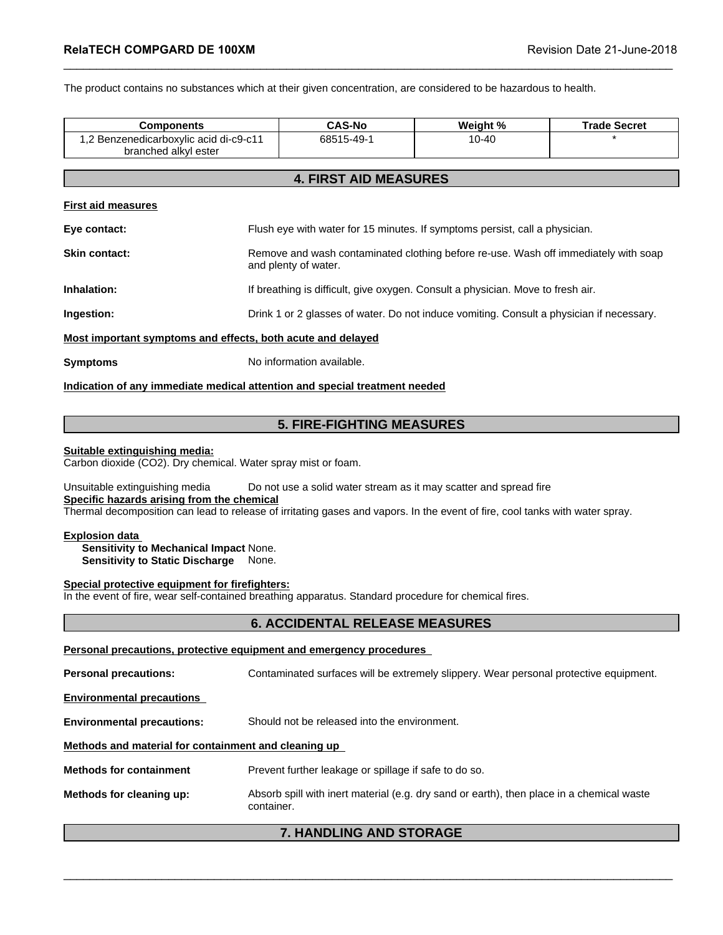| RelaTECH COMPGARD DE 100XM                                                                                                                                                                                   |  |                                                                                                             | Revision Date 21-June-2018                                                                                       |                     |  |
|--------------------------------------------------------------------------------------------------------------------------------------------------------------------------------------------------------------|--|-------------------------------------------------------------------------------------------------------------|------------------------------------------------------------------------------------------------------------------|---------------------|--|
|                                                                                                                                                                                                              |  |                                                                                                             | The product contains no substances which at their given concentration, are considered to be hazardous to health. |                     |  |
| <b>Components</b>                                                                                                                                                                                            |  | <b>CAS-No</b>                                                                                               | Weight %                                                                                                         | <b>Trade Secret</b> |  |
| 1,2 Benzenedicarboxylic acid di-c9-c11<br>branched alkyl ester                                                                                                                                               |  | 68515-49-1                                                                                                  | $10 - 40$                                                                                                        |                     |  |
|                                                                                                                                                                                                              |  | <b>4. FIRST AID MEASURES</b>                                                                                |                                                                                                                  |                     |  |
| <b>First aid measures</b>                                                                                                                                                                                    |  |                                                                                                             |                                                                                                                  |                     |  |
| Eye contact:                                                                                                                                                                                                 |  | Flush eye with water for 15 minutes. If symptoms persist, call a physician.                                 |                                                                                                                  |                     |  |
| <b>Skin contact:</b>                                                                                                                                                                                         |  | Remove and wash contaminated clothing before re-use. Wash off immediately with soap<br>and plenty of water. |                                                                                                                  |                     |  |
| Inhalation:                                                                                                                                                                                                  |  |                                                                                                             | If breathing is difficult, give oxygen. Consult a physician. Move to fresh air.                                  |                     |  |
| Ingestion:                                                                                                                                                                                                   |  |                                                                                                             | Drink 1 or 2 glasses of water. Do not induce vomiting. Consult a physician if necessary.                         |                     |  |
| Most important symptoms and effects, both acute and delayed                                                                                                                                                  |  |                                                                                                             |                                                                                                                  |                     |  |
| <b>Symptoms</b>                                                                                                                                                                                              |  | No information available.                                                                                   |                                                                                                                  |                     |  |
|                                                                                                                                                                                                              |  | Indication of any immediate medical attention and special treatment needed                                  |                                                                                                                  |                     |  |
|                                                                                                                                                                                                              |  |                                                                                                             |                                                                                                                  |                     |  |
|                                                                                                                                                                                                              |  | <b>5. FIRE-FIGHTING MEASURES</b>                                                                            |                                                                                                                  |                     |  |
| Suitable extinguishing media:<br>Carbon dioxide (CO2). Dry chemical. Water spray mist or foam.                                                                                                               |  |                                                                                                             |                                                                                                                  |                     |  |
| Unsuitable extinguishing media<br>Specific hazards arising from the chemical<br>Thermal decomposition can lead to release of irritating gases and vapors. In the event of fire, cool tanks with water spray. |  |                                                                                                             | Do not use a solid water stream as it may scatter and spread fire                                                |                     |  |

## **Suitable extinguishing media:**

**Specific hazards arising from the chemical** Thermal decomposition can lead to release of irritating gases and vapors. In the event of fire, cool tanks with water spray. **5. FIRE-FIGHTING MEASURES**<br>ater spray mist or foam.<br>Do not use a solid water stream as it may scatter and spread fire<br>mical<br>ase of irritating gases and vapors. In the event of fire, cool tanks with water spray.<br>None.<br>Jone

## **Explosion data**

**Sensitivity to Mechanical Impact** None. **Sensitivity to Static Discharge** None.

## **Special protective equipment for firefighters:**

In the event of fire, wear self-contained breathing apparatus. Standard procedure for chemical fires.

## **Personal precautions, protective equipment and emergency procedures**

**Personal precautions:** Contaminated surfaces will be extremely slippery. Wear personal protective equipment. **Environmental precautions Environmental precautions:** Should not be released into the environment. **Methods and material for containment and cleaning up Methods for containment** Prevent further leakage or spillage if safe to do so. **Methods for cleaning up:** Absorb spill with inert material (e.g. dry sand or earth), then place in a chemical waste container. Letter the material procedures<br>
Personal precautions:<br>
Personal precautions:<br>
Environmental precautions<br>
Environmental precautions:<br>
Should not be released into the environment.<br>
Methods and material for containment and cl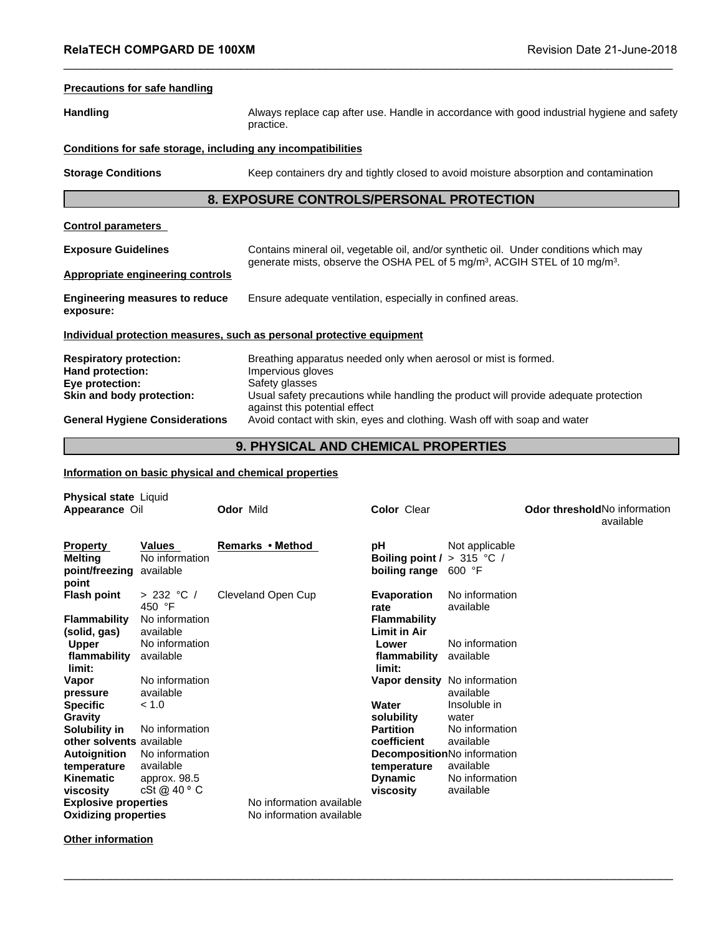## **Precautions for safe handling**

**Handling** Always replace cap after use. Handle in accordance with good industrial hygiene and safety practice. **E 100XM**<br> **Revision Date 21-June-2018**<br> **8. EXPOSURE CONTROLS/PERSONAL PROTECTION**<br> **8. EXPOSURE CONTROLS/PERSONAL PROTECTION**<br> **8. EXPOSURE CONTROLS/PERSONAL PROTECTION** 

## **Conditions for safe storage, including any incompatibilities**

**Storage Conditions** Keep containers dry and tightly closed to avoid moisture absorption and contamination

 $\_$  ,  $\_$  ,  $\_$  ,  $\_$  ,  $\_$  ,  $\_$  ,  $\_$  ,  $\_$  ,  $\_$  ,  $\_$  ,  $\_$  ,  $\_$  ,  $\_$  ,  $\_$  ,  $\_$  ,  $\_$  ,  $\_$  ,  $\_$  ,  $\_$  ,  $\_$  ,  $\_$  ,  $\_$  ,  $\_$  ,  $\_$  ,  $\_$  ,  $\_$  ,  $\_$  ,  $\_$  ,  $\_$  ,  $\_$  ,  $\_$  ,  $\_$  ,  $\_$  ,  $\_$  ,  $\_$  ,  $\_$  ,  $\_$  ,

**Control parameters** 

**Exposure Guidelines** Contains mineral oil, vegetable oil, and/or synthetic oil. Under conditions which may generate mists, observe the OSHA PEL of 5 mg/m<sup>3</sup>, ACGIH STEL of 10 mg/m<sup>3</sup>. . **Appropriate engineering controls Engineering measures to reduce exposure:** Ensure adequate ventilation, especially in confined areas. **Individual protection measures, such as personal protective equipment Respiratory protection:** Breathing apparatus needed only when aerosol or mist is formed. Hand protection: **Impervious gloves Eye protection:** Safety glasses **Skin and body protection:** Usual safety precautions while handling the product will provide adequate protection against this potential effect Contains mineral oil, vegetable oil, and/or synthetic oil. Under conditions which may<br>generate mists, observe the OSHA PEL of 5 mg/m<sup>3</sup>, ACGIH STEL of 10 mg/m<sup>3</sup>.<br>Ensure adequate ventilation, especially in confined areas.<br>

## **Information on basic physical and chemical properties**

| Skin and body protection:           |                                       |                                                       |                                                                                                           |                              | Usual safety precautions while handling the product will provide adequate protection |  |
|-------------------------------------|---------------------------------------|-------------------------------------------------------|-----------------------------------------------------------------------------------------------------------|------------------------------|--------------------------------------------------------------------------------------|--|
|                                     | <b>General Hygiene Considerations</b> |                                                       | against this potential effect<br>Avoid contact with skin, eyes and clothing. Wash off with soap and water |                              |                                                                                      |  |
| 9. PHYSICAL AND CHEMICAL PROPERTIES |                                       |                                                       |                                                                                                           |                              |                                                                                      |  |
|                                     |                                       | Information on basic physical and chemical properties |                                                                                                           |                              |                                                                                      |  |
| Physical state Liquid               |                                       |                                                       |                                                                                                           |                              |                                                                                      |  |
| Appearance Oil                      |                                       | <b>Odor Mild</b>                                      | <b>Color Clear</b>                                                                                        |                              | Odor threshold No information<br>available                                           |  |
| <b>Property</b>                     | <b>Values</b>                         | Remarks • Method                                      | рH                                                                                                        | Not applicable               |                                                                                      |  |
| <b>Melting</b>                      | No information                        |                                                       | Boiling point $/$ > 315 °C /                                                                              |                              |                                                                                      |  |
| point/freezing available            |                                       |                                                       | boiling range 600 °F                                                                                      |                              |                                                                                      |  |
| point                               |                                       |                                                       |                                                                                                           |                              |                                                                                      |  |
| <b>Flash point</b>                  | > 232 °C /                            | Cleveland Open Cup                                    | <b>Evaporation</b>                                                                                        | No information               |                                                                                      |  |
|                                     | 450 °F                                |                                                       | rate                                                                                                      | available                    |                                                                                      |  |
| <b>Flammability</b>                 | No information                        |                                                       | <b>Flammability</b>                                                                                       |                              |                                                                                      |  |
| (solid, gas)                        | available                             |                                                       | <b>Limit in Air</b>                                                                                       |                              |                                                                                      |  |
| <b>Upper</b>                        | No information                        |                                                       | Lower                                                                                                     | No information               |                                                                                      |  |
| flammability                        | available                             |                                                       | flammability                                                                                              | available                    |                                                                                      |  |
| limit:                              |                                       |                                                       | limit:                                                                                                    |                              |                                                                                      |  |
| Vapor                               | No information                        |                                                       |                                                                                                           | Vapor density No information |                                                                                      |  |
| pressure                            | available                             |                                                       |                                                                                                           | available                    |                                                                                      |  |
| <b>Specific</b>                     | < 1.0                                 |                                                       | Water                                                                                                     | Insoluble in                 |                                                                                      |  |
| Gravity                             |                                       |                                                       | solubility                                                                                                | water                        |                                                                                      |  |
| Solubility in                       | No information                        |                                                       | <b>Partition</b>                                                                                          | No information               |                                                                                      |  |
| other solvents available            |                                       |                                                       | coefficient                                                                                               | available                    |                                                                                      |  |
| <b>Autoignition</b>                 | No information                        |                                                       |                                                                                                           | DecompositionNo information  |                                                                                      |  |
| temperature                         | available                             |                                                       | temperature                                                                                               | available                    |                                                                                      |  |
| <b>Kinematic</b>                    | approx. 98.5                          |                                                       | <b>Dynamic</b>                                                                                            | No information               |                                                                                      |  |
| viscosity                           | cSt@40°C                              |                                                       | viscosity                                                                                                 | available                    |                                                                                      |  |
| <b>Explosive properties</b>         |                                       | No information available                              |                                                                                                           |                              |                                                                                      |  |
| <b>Oxidizing properties</b>         |                                       | No information available                              |                                                                                                           |                              |                                                                                      |  |

 $\Box \Box \Box \Box \Box \Box \Box$ 

**Other information**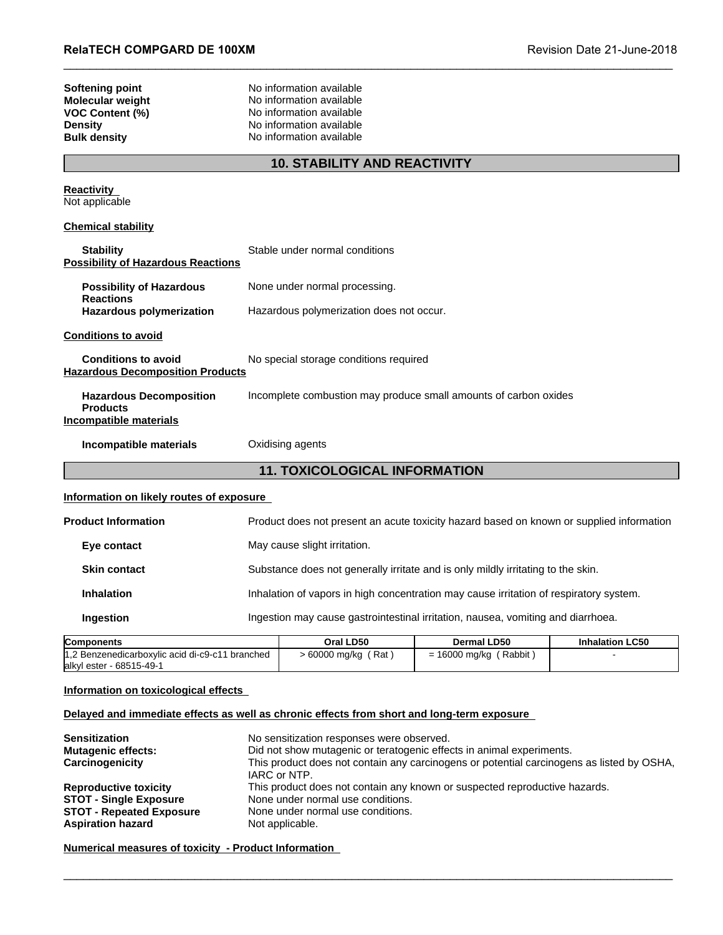| <b>RelaTECH COMPGARD DE 100XM</b>                                                                      |                                                                                                                                          | Revision Date 21-June-2018 |
|--------------------------------------------------------------------------------------------------------|------------------------------------------------------------------------------------------------------------------------------------------|----------------------------|
| <b>Softening point</b><br>Molecular weight<br>VOC Content (%)<br><b>Density</b><br><b>Bulk density</b> | No information available<br>No information available<br>No information available<br>No information available<br>No information available |                            |
|                                                                                                        | <b>10. STABILITY AND REACTIVITY</b>                                                                                                      |                            |
| <b>Reactivity</b><br>Not applicable                                                                    |                                                                                                                                          |                            |
| <b>Chemical stability</b>                                                                              |                                                                                                                                          |                            |
| <b>Stability</b><br><b>Possibility of Hazardous Reactions</b>                                          | Stable under normal conditions                                                                                                           |                            |
| <b>Possibility of Hazardous</b><br><b>Reactions</b>                                                    | None under normal processing.                                                                                                            |                            |
| <b>Hazardous polymerization</b>                                                                        | Hazardous polymerization does not occur.                                                                                                 |                            |
| <b>Conditions to avoid</b>                                                                             |                                                                                                                                          |                            |
| <b>Conditions to avoid</b><br><b>Hazardous Decomposition Products</b>                                  | No special storage conditions required                                                                                                   |                            |
| <b>Hazardous Decomposition</b><br><b>Products</b><br><b>Incompatible materials</b>                     | Incomplete combustion may produce small amounts of carbon oxides                                                                         |                            |
| Incompatible materials                                                                                 | Oxidising agents                                                                                                                         |                            |
|                                                                                                        | <b>11. TOXICOLOGICAL INFORMATION</b>                                                                                                     |                            |
| Information on likely routes of exposure                                                               |                                                                                                                                          |                            |
| <b>Product Information</b>                                                                             | Product does not present an acute toxicity hazard based on known or supplied information                                                 |                            |

## **Information on likely routes of exposure**

|                                                                              | Product does not present an acute toxicity hazard based on known or supplied information |                          |                                                                                  |  |  |
|------------------------------------------------------------------------------|------------------------------------------------------------------------------------------|--------------------------|----------------------------------------------------------------------------------|--|--|
|                                                                              | May cause slight irritation.                                                             |                          |                                                                                  |  |  |
|                                                                              | Substance does not generally irritate and is only mildly irritating to the skin.         |                          |                                                                                  |  |  |
|                                                                              | Inhalation of vapors in high concentration may cause irritation of respiratory system.   |                          |                                                                                  |  |  |
|                                                                              |                                                                                          |                          |                                                                                  |  |  |
|                                                                              | Oral LD50                                                                                | <b>Dermal LD50</b>       | <b>Inhalation LC50</b>                                                           |  |  |
| 1,2 Benzenedicarboxylic acid di-c9-c11 branched<br>lalkyl ester - 68515-49-1 |                                                                                          | $= 16000$ mg/kg (Rabbit) |                                                                                  |  |  |
|                                                                              |                                                                                          | $> 60000$ mg/kg (Rat)    | Ingestion may cause gastrointestinal irritation, nausea, vomiting and diarrhoea. |  |  |

| <b>Components</b>                               | Oral LD50            | <b>Dermal LD50</b>    | <b>Inhalation LC50</b> |
|-------------------------------------------------|----------------------|-----------------------|------------------------|
| 1,2 Benzenedicarboxylic acid di-c9-c11 branched | Rat<br>- 60000 mg/kg | Rabbit<br>16000 mg/kg |                        |
| alkyl ester - 68515-49-1                        |                      |                       |                        |

## **Information on toxicological effects**

## **Delayed and immediate effects as well as chronic effects from short and long-term exposure**

| <b>Sensitization</b>                                        | No sensitization responses were observed.                                                                 |
|-------------------------------------------------------------|-----------------------------------------------------------------------------------------------------------|
| <b>Mutagenic effects:</b>                                   | Did not show mutagenic or teratogenic effects in animal experiments.                                      |
| Carcinogenicity                                             | This product does not contain any carcinogens or potential carcinogens as listed by OSHA,<br>IARC or NTP. |
| <b>Reproductive toxicity</b>                                | This product does not contain any known or suspected reproductive hazards.                                |
| <b>STOT - Single Exposure</b>                               | None under normal use conditions.                                                                         |
| <b>STOT - Repeated Exposure</b><br><b>Aspiration hazard</b> | None under normal use conditions.<br>Not applicable.                                                      |

## \_\_\_\_\_\_\_\_\_\_\_\_\_\_\_\_\_\_\_\_\_\_\_\_\_\_\_\_\_\_\_\_\_\_\_\_\_\_\_\_\_\_\_\_\_\_\_\_\_\_\_\_\_\_\_\_\_\_\_\_\_\_\_\_\_\_\_\_\_\_\_\_\_\_\_\_\_\_\_\_\_\_\_\_\_\_\_\_\_\_\_\_\_ **Numerical measures of toxicity - Product Information**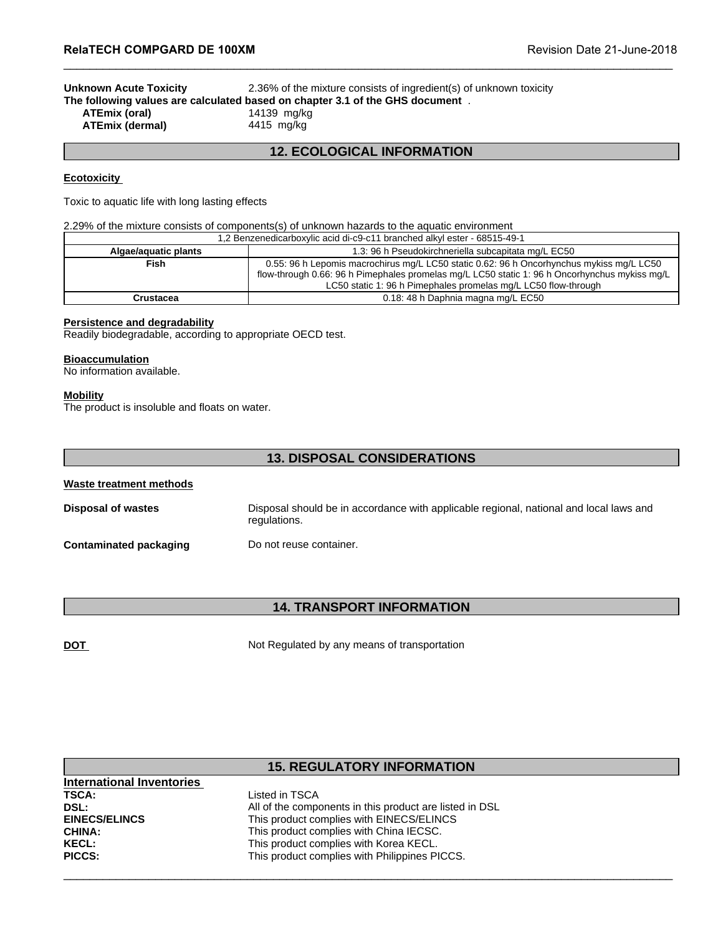**Unknown Acute Toxicity** 2.36% of the mixture consists of ingredient(s) of unknown toxicity **The following values are calculated based on chapter 3.1 of the GHS document** . **ATEmix (oral)** 14139 mg/kg<br>**ATEmix (dermal)** 4415 mg/kg **ATEmix (dermal)** Revision Date 21-June-<br>
<sup>26</sup>% of the mixture consists of ingredient(s) of unknown toxicity<br> **12. ECOLOGICAL INFORMATION**<br> **12. ECOLOGICAL INFORMATION** 

 $\_$  ,  $\_$  ,  $\_$  ,  $\_$  ,  $\_$  ,  $\_$  ,  $\_$  ,  $\_$  ,  $\_$  ,  $\_$  ,  $\_$  ,  $\_$  ,  $\_$  ,  $\_$  ,  $\_$  ,  $\_$  ,  $\_$  ,  $\_$  ,  $\_$  ,  $\_$  ,  $\_$  ,  $\_$  ,  $\_$  ,  $\_$  ,  $\_$  ,  $\_$  ,  $\_$  ,  $\_$  ,  $\_$  ,  $\_$  ,  $\_$  ,  $\_$  ,  $\_$  ,  $\_$  ,  $\_$  ,  $\_$  ,  $\_$  ,

## **Ecotoxicity**

Toxic to aquatic life with long lasting effects

## 2.29% of the mixture consists of components(s) of unknown hazards to the aquatic environment

|                                                                                                                                                                                                                        | 1,2 Benzenedicarboxylic acid di-c9-c11 branched alkyl ester - 68515-49-1                                                                                        |  |
|------------------------------------------------------------------------------------------------------------------------------------------------------------------------------------------------------------------------|-----------------------------------------------------------------------------------------------------------------------------------------------------------------|--|
| Algae/aquatic plants                                                                                                                                                                                                   | 1.3: 96 h Pseudokirchneriella subcapitata mg/L EC50                                                                                                             |  |
| Fish                                                                                                                                                                                                                   | 0.55: 96 h Lepomis macrochirus mg/L LC50 static 0.62: 96 h Oncorhynchus mykiss mg/L LC50                                                                        |  |
|                                                                                                                                                                                                                        | flow-through 0.66: 96 h Pimephales promelas mg/L LC50 static 1: 96 h Oncorhynchus mykiss mg/L<br>LC50 static 1: 96 h Pimephales promelas mg/L LC50 flow-through |  |
| 0.18: 48 h Daphnia magna mg/L EC50<br><b>Crustacea</b>                                                                                                                                                                 |                                                                                                                                                                 |  |
| Persistence and degradability<br>Readily biodegradable, according to appropriate OECD test.<br><b>Bioaccumulation</b><br>No information available.<br><b>Mobility</b><br>The product is insoluble and floats on water. |                                                                                                                                                                 |  |
|                                                                                                                                                                                                                        | <b>13. DISPOSAL CONSIDERATIONS</b>                                                                                                                              |  |
| Waste treatment methods                                                                                                                                                                                                |                                                                                                                                                                 |  |
| Disposal of wastes                                                                                                                                                                                                     | Disposal should be in accordance with applicable regional, national and local laws and                                                                          |  |

## **Persistence and degradability**

## **Bioaccumulation**

## **Mobility**

# **Waste treatment methods Disposal of wastes Disposal should be in accordance with applicable regional, national and local laws and <b>Disposal should be in accordance with applicable regional, national and local laws and** regulations. **Contaminated packaging Do not reuse container. 14. DISPOSAL CONSIDERATIONS**<br>
Solar should be in accordance with applicable regional, national and local laws and<br>
treuse container.<br> **14. TRANSPORT INFORMATION**<br>
Regulated by any means of transportation

|                                                   | <b>14. TRANSPORT INFORMATION</b>                        |  |
|---------------------------------------------------|---------------------------------------------------------|--|
|                                                   |                                                         |  |
| <u>DOT</u>                                        | Not Regulated by any means of transportation            |  |
|                                                   |                                                         |  |
|                                                   |                                                         |  |
|                                                   |                                                         |  |
|                                                   |                                                         |  |
|                                                   |                                                         |  |
|                                                   |                                                         |  |
|                                                   |                                                         |  |
|                                                   |                                                         |  |
|                                                   | <b>15. REGULATORY INFORMATION</b>                       |  |
|                                                   | Listed in TSCA                                          |  |
| <b>International Inventories</b><br>TSCA:<br>DSL: | All of the components in this product are listed in DSL |  |
| <b>EINECS/ELINCS</b>                              | This product complies with EINECS/ELINCS                |  |
|                                                   | This product complies with China IECSC.                 |  |
| CHINA:<br><b>KECL:</b>                            | This product complies with Korea KECL.                  |  |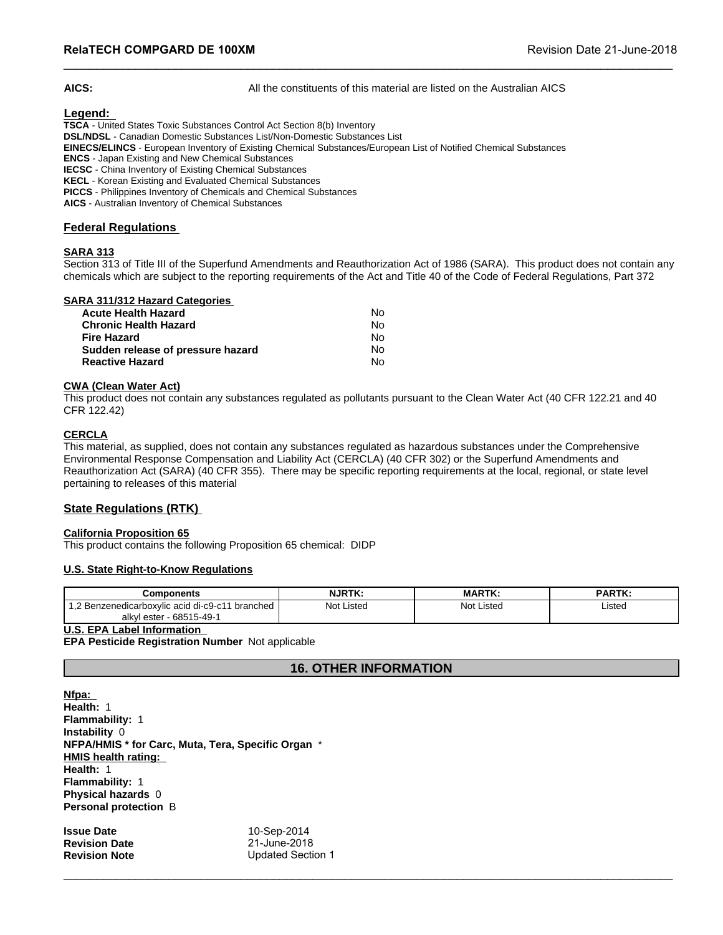**AICS:** All the constituents of this material are listed on the Australian AICS

 $\_$  ,  $\_$  ,  $\_$  ,  $\_$  ,  $\_$  ,  $\_$  ,  $\_$  ,  $\_$  ,  $\_$  ,  $\_$  ,  $\_$  ,  $\_$  ,  $\_$  ,  $\_$  ,  $\_$  ,  $\_$  ,  $\_$  ,  $\_$  ,  $\_$  ,  $\_$  ,  $\_$  ,  $\_$  ,  $\_$  ,  $\_$  ,  $\_$  ,  $\_$  ,  $\_$  ,  $\_$  ,  $\_$  ,  $\_$  ,  $\_$  ,  $\_$  ,  $\_$  ,  $\_$  ,  $\_$  ,  $\_$  ,  $\_$  ,

## **Legend:**

**TSCA** - United States Toxic Substances Control Act Section 8(b) Inventory **DSL/NDSL** - Canadian Domestic Substances List/Non-Domestic Substances List **EINECS/ELINCS** - European Inventory of Existing Chemical Substances/European List of Notified Chemical Substances **ENCS** - Japan Existing and New Chemical Substances **IECSC** - China Inventory of Existing Chemical Substances **KECL** - Korean Existing and Evaluated Chemical Substances

**PICCS** - Philippines Inventory of Chemicals and Chemical Substances

**AICS** - Australian Inventory of Chemical Substances

## **Federal Regulations**

## **SARA 313**

Section 313 of Title III of the Superfund Amendments and Reauthorization Act of 1986 (SARA). This product does not contain any chemicals which are subject to the reporting requirements of the Act and Title 40 of the Code of Federal Regulations, Part 372

## **SARA 311/312 Hazard Categories**

| <b>Acute Health Hazard</b>        | No. |  |
|-----------------------------------|-----|--|
| <b>Chronic Health Hazard</b>      | No. |  |
| Fire Hazard                       | N٥  |  |
| Sudden release of pressure hazard | N٥  |  |
| <b>Reactive Hazard</b>            | N٥  |  |

## **CWA (Clean Water Act)**

This product does not contain any substances regulated as pollutants pursuant to the Clean Water Act (40 CFR 122.21 and 40 CFR 122.42)

## **CERCLA**

This material, as supplied, does not contain any substances regulated as hazardous substances under the Comprehensive Environmental Response Compensation and Liability Act (CERCLA) (40 CFR 302) or the Superfund Amendments and Reauthorization Act (SARA) (40 CFR 355). There may be specific reporting requirements at the local, regional, or state level pertaining to releases of this material

## **State Regulations (RTK)**

## **California Proposition 65**

## **U.S. State Right-to-Know Regulations**

| Reauthorization Act (SARA) (40 CFR 355). There may be specific reporting requirements at the local, regional, or state level<br>pertaining to releases of this material | $\sim$ $\sim$ $\sim$ $\sim$  |               |               |
|-------------------------------------------------------------------------------------------------------------------------------------------------------------------------|------------------------------|---------------|---------------|
| <b>State Regulations (RTK)</b>                                                                                                                                          |                              |               |               |
| <b>California Proposition 65</b><br>This product contains the following Proposition 65 chemical: DIDP<br>U.S. State Right-to-Know Regulations                           |                              |               |               |
| <b>Components</b>                                                                                                                                                       | <b>NJRTK:</b>                | <b>MARTK:</b> | <b>PARTK:</b> |
| 1,2 Benzenedicarboxylic acid di-c9-c11 branched<br>alkyl ester - 68515-49-1                                                                                             | Not Listed                   | Not Listed    | Listed        |
| <b>U.S. EPA Label Information</b><br>EPA Pesticide Registration Number Not applicable                                                                                   |                              |               |               |
|                                                                                                                                                                         | <b>16. OTHER INFORMATION</b> |               |               |
| Nfpa:<br>Health: 1<br><b>Flammability: 1</b>                                                                                                                            |                              |               |               |

## **U.S. EPA Label Information**

**Nfpa: Health:** 1 **Flammability:** 1 **Instability** 0 **NFPA/HMIS \* for Carc, Muta, Tera, Specific Organ** \* **HMIS health rating: Health:** 1 **Flammability:** 1 **Physical hazards** 0 **Personal protection** B

**Issue Date** 10-Sep-2014 \_\_\_\_\_\_\_\_\_\_\_\_\_\_\_\_\_\_\_\_\_\_\_\_\_\_\_\_\_\_\_\_\_\_\_\_\_\_\_\_\_\_\_\_\_\_\_\_\_\_\_\_\_\_\_\_\_\_\_\_\_\_\_\_\_\_\_\_\_\_\_\_\_\_\_\_\_\_\_\_\_\_\_\_\_\_\_\_\_\_\_\_\_ **Revision Date** 21-June-2018 **Revision Note** Updated Section 1